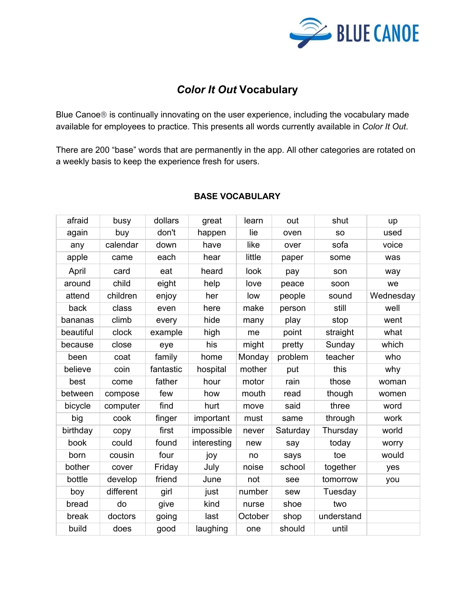

# *Color It Out* **Vocabulary**

Blue Canoe® is continually innovating on the user experience, including the vocabulary made available for employees to practice. This presents all words currently available in *Color It Out*.

There are 200 "base" words that are permanently in the app. All other categories are rotated on a weekly basis to keep the experience fresh for users.

| afraid    | busy      | dollars   | great       | learn   | out      | shut       | up        |
|-----------|-----------|-----------|-------------|---------|----------|------------|-----------|
| again     | buy       | don't     | happen      | lie     | oven     | <b>SO</b>  | used      |
| any       | calendar  | down      | have        | like    | over     | sofa       | voice     |
| apple     | came      | each      | hear        | little  | paper    | some       | was       |
| April     | card      | eat       | heard       | look    | pay      | son        | way       |
| around    | child     | eight     | help        | love    | peace    | soon       | we        |
| attend    | children  | enjoy     | her         | low     | people   | sound      | Wednesday |
| back      | class     | even      | here        | make    | person   | still      | well      |
| bananas   | climb     | every     | hide        | many    | play     | stop       | went      |
| beautiful | clock     | example   | high        | me      | point    | straight   | what      |
| because   | close     | eye       | his         | might   | pretty   | Sunday     | which     |
| been      | coat      | family    | home        | Monday  | problem  | teacher    | who       |
| believe   | coin      | fantastic | hospital    | mother  | put      | this       | why       |
| best      | come      | father    | hour        | motor   | rain     | those      | woman     |
| between   | compose   | few       | how         | mouth   | read     | though     | women     |
| bicycle   | computer  | find      | hurt        | move    | said     | three      | word      |
| big       | cook      | finger    | important   | must    | same     | through    | work      |
| birthday  | copy      | first     | impossible  | never   | Saturday | Thursday   | world     |
| book      | could     | found     | interesting | new     | say      | today      | worry     |
| born      | cousin    | four      | joy         | no      | says     | toe        | would     |
| bother    | cover     | Friday    | July        | noise   | school   | together   | yes       |
| bottle    | develop   | friend    | June        | not     | see      | tomorrow   | you       |
| boy       | different | girl      | just        | number  | sew      | Tuesday    |           |
| bread     | do        | give      | kind        | nurse   | shoe     | two        |           |
| break     | doctors   | going     | last        | October | shop     | understand |           |
| build     | does      | good      | laughing    | one     | should   | until      |           |

### **BASE VOCABULARY**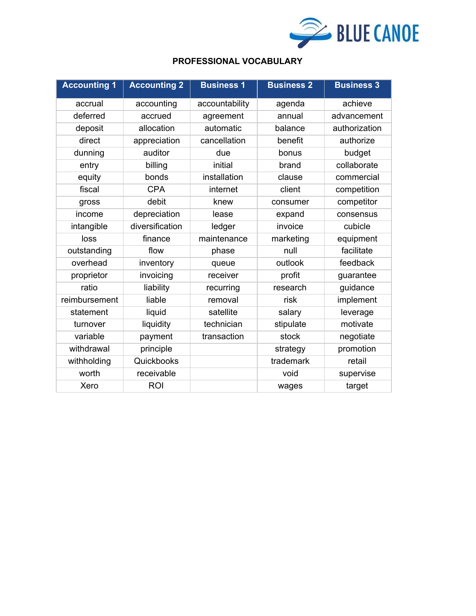

### **PROFESSIONAL VOCABULARY**

| <b>Accounting 1</b> | <b>Accounting 2</b> | <b>Business 1</b> | <b>Business 2</b> | <b>Business 3</b> |
|---------------------|---------------------|-------------------|-------------------|-------------------|
| accrual             | accounting          | accountability    | agenda            | achieve           |
| deferred            | accrued             | agreement         | annual            | advancement       |
| deposit             | allocation          | automatic         | balance           | authorization     |
| direct              | appreciation        | cancellation      | benefit           | authorize         |
| dunning             | auditor             | due               | bonus             | budget            |
| entry               | billing             | initial           | brand             | collaborate       |
| equity              | bonds               | installation      | clause            | commercial        |
| fiscal              | <b>CPA</b>          | internet          | client            | competition       |
| gross               | debit               | knew              | consumer          | competitor        |
| income              | depreciation        | lease             | expand            | consensus         |
| intangible          | diversification     | ledger            | invoice           | cubicle           |
| loss                | finance             | maintenance       | marketing         | equipment         |
| outstanding         | flow                | phase             | null              | facilitate        |
| overhead            | inventory           | queue             | outlook           | feedback          |
| proprietor          | invoicing           | receiver          | profit            | guarantee         |
| ratio               | liability           | recurring         | research          | guidance          |
| reimbursement       | liable              | removal           | risk              | implement         |
| statement           | liquid              | satellite         | salary            | leverage          |
| turnover            | liquidity           | technician        | stipulate         | motivate          |
| variable            | payment             | transaction       | stock             | negotiate         |
| withdrawal          | principle           |                   | strategy          | promotion         |
| withholding         | Quickbooks          |                   | trademark         | retail            |
| worth               | receivable          |                   | void              | supervise         |
| Xero                | <b>ROI</b>          |                   | wages             | target            |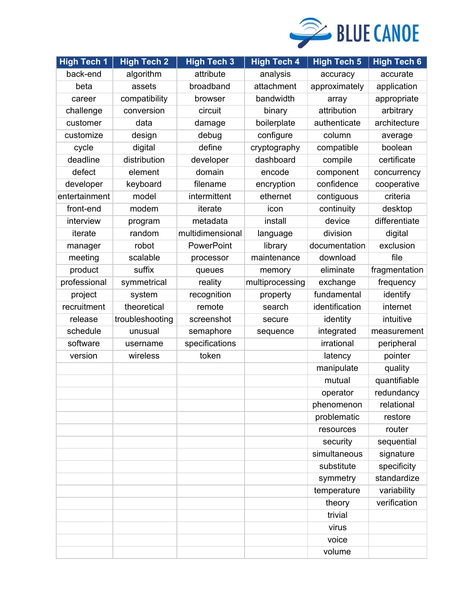

| <b>High Tech 1</b> | <b>High Tech 2</b> | <b>High Tech 3</b> | <b>High Tech 4</b> | <b>High Tech 5</b> | <b>High Tech 6</b> |
|--------------------|--------------------|--------------------|--------------------|--------------------|--------------------|
| back-end           | algorithm          | attribute          | analysis           | accuracy           | accurate           |
| beta               | assets             | broadband          | attachment         | approximately      | application        |
| career             | compatibility      | browser            | bandwidth          | array              | appropriate        |
| challenge          | conversion         | circuit            | binary             | attribution        | arbitrary          |
| customer           | data               | damage             | boilerplate        | authenticate       | architecture       |
| customize          | design             | debug              | configure          | column             | average            |
| cycle              | digital            | define             | cryptography       | compatible         | boolean            |
| deadline           | distribution       | developer          | dashboard          | compile            | certificate        |
| defect             | element            | domain             | encode             | component          | concurrency        |
| developer          | keyboard           | filename           | encryption         | confidence         | cooperative        |
| entertainment      | model              | intermittent       | ethernet           | contiguous         | criteria           |
| front-end          | modem              | iterate            | icon               | continuity         | desktop            |
| interview          | program            | metadata           | install            | device             | differentiate      |
| iterate            | random             | multidimensional   | language           | division           | digital            |
| manager            | robot              | PowerPoint         | library            | documentation      | exclusion          |
| meeting            | scalable           | processor          | maintenance        | download           | file               |
| product            | suffix             | queues             | memory             | eliminate          | fragmentation      |
| professional       | symmetrical        | reality            | multiprocessing    | exchange           | frequency          |
| project            | system             | recognition        | property           | fundamental        | identify           |
| recruitment        | theoretical        | remote             | search             | identification     | internet           |
| release            | troubleshooting    | screenshot         | secure             | identity           | intuitive          |
| schedule           | unusual            | semaphore          | sequence           | integrated         | measurement        |
| software           | username           | specifications     |                    | irrational         | peripheral         |
| version            | wireless           | token              |                    | latency            | pointer            |
|                    |                    |                    |                    | manipulate         | quality            |
|                    |                    |                    |                    | mutual             | quantifiable       |
|                    |                    |                    |                    | operator           | redundancy         |
|                    |                    |                    |                    | phenomenon         | relational         |
|                    |                    |                    |                    | problematic        | restore            |
|                    |                    |                    |                    | resources          | router             |
|                    |                    |                    |                    | security           | sequential         |
|                    |                    |                    |                    | simultaneous       | signature          |
|                    |                    |                    |                    | substitute         | specificity        |
|                    |                    |                    |                    | symmetry           | standardize        |
|                    |                    |                    |                    | temperature        | variability        |
|                    |                    |                    |                    | theory             | verification       |
|                    |                    |                    |                    | trivial            |                    |
|                    |                    |                    |                    | virus              |                    |
|                    |                    |                    |                    | voice              |                    |
|                    |                    |                    |                    | volume             |                    |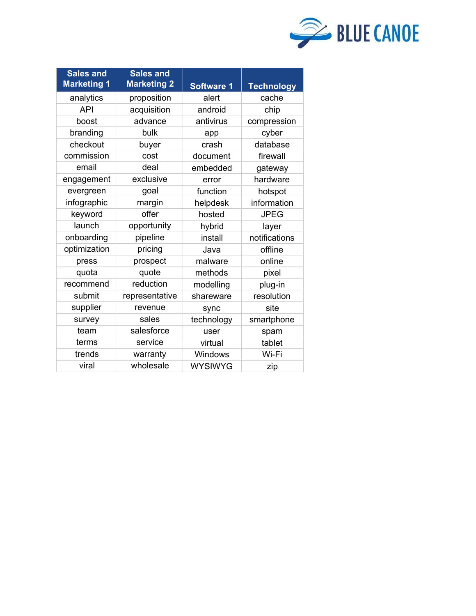

| <b>Sales and</b><br><b>Marketing 1</b> | <b>Sales and</b><br><b>Marketing 2</b> | <b>Software 1</b> | <b>Technology</b> |
|----------------------------------------|----------------------------------------|-------------------|-------------------|
| analytics                              | proposition                            | alert             | cache             |
| <b>API</b>                             | acquisition                            | android           | chip              |
| boost                                  | advance                                | antivirus         | compression       |
| branding                               | bulk                                   | app               | cyber             |
| checkout                               | buyer                                  | crash             | database          |
| commission                             | cost                                   | document          | firewall          |
| email                                  | deal                                   | embedded          | gateway           |
| engagement                             | exclusive                              | error             | hardware          |
| evergreen                              | goal                                   | function          | hotspot           |
| infographic                            | margin                                 | helpdesk          | information       |
| keyword                                | offer                                  | hosted            | <b>JPEG</b>       |
| launch                                 | opportunity                            | hybrid            | layer             |
| onboarding                             | pipeline                               | install           | notifications     |
| optimization                           | pricing                                | Java              | offline           |
| press                                  | prospect                               | malware           | online            |
| quota                                  | quote                                  | methods           | pixel             |
| recommend                              | reduction                              | modelling         | plug-in           |
| submit                                 | representative                         | shareware         | resolution        |
| supplier                               | revenue                                | sync              | site              |
| survey                                 | sales                                  | technology        | smartphone        |
| team                                   | salesforce                             | user              | spam              |
| terms                                  | service                                | virtual           | tablet            |
| trends                                 | warranty                               | Windows           | Wi-Fi             |
| viral                                  | wholesale                              | <b>WYSIWYG</b>    | zip               |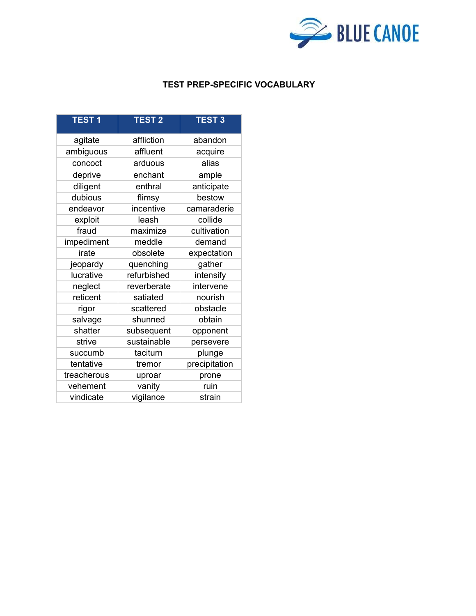

### **TEST PREP-SPECIFIC VOCABULARY**

| <b>TEST1</b> | <b>TEST 2</b> | <b>TEST 3</b> |
|--------------|---------------|---------------|
| agitate      | affliction    | abandon       |
| ambiguous    | affluent      | acquire       |
| concoct      | arduous       | alias         |
| deprive      | enchant       | ample         |
| diligent     | enthral       | anticipate    |
| dubious      | flimsy        | bestow        |
| endeavor     | incentive     | camaraderie   |
| exploit      | leash         | collide       |
| fraud        | maximize      | cultivation   |
| impediment   | meddle        | demand        |
| irate        | obsolete      | expectation   |
| jeopardy     | quenching     | gather        |
| lucrative    | refurbished   | intensify     |
| neglect      | reverberate   | intervene     |
| reticent     | satiated      | nourish       |
| rigor        | scattered     | obstacle      |
| salvage      | shunned       | obtain        |
| shatter      | subsequent    | opponent      |
| strive       | sustainable   | persevere     |
| succumb      | taciturn      | plunge        |
| tentative    | tremor        | precipitation |
| treacherous  | uproar        | prone         |
| vehement     | vanity        | ruin          |
| vindicate    | vigilance     | strain        |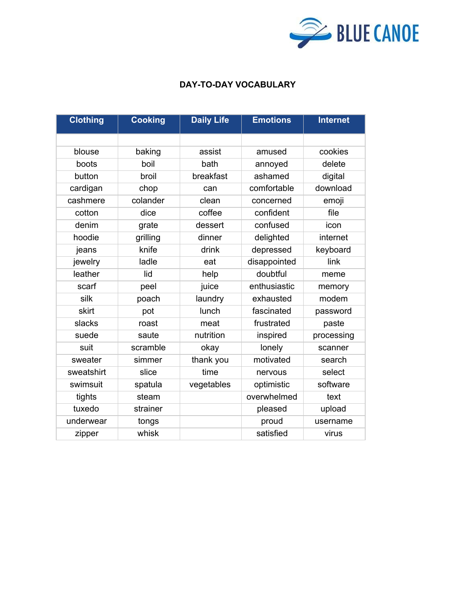

## **DAY-TO-DAY VOCABULARY**

| cookies<br>blouse<br>baking<br>assist<br>amused<br>boil<br>delete<br>boots<br>bath<br>annoyed<br>button<br>broil<br>breakfast<br>ashamed<br>digital<br>comfortable<br>download<br>cardigan<br>chop<br>can<br>cashmere<br>colander<br>clean<br>emoji<br>concerned<br>coffee<br>confident<br>file<br>cotton<br>dice<br>confused<br>denim<br>dessert<br>grate<br>icon<br>hoodie<br>grilling<br>dinner<br>delighted<br>internet<br>knife<br>drink<br>depressed<br>keyboard<br>jeans<br>jewelry<br>ladle<br>disappointed<br>link<br>eat<br>leather<br>lid<br>doubtful<br>help<br>meme | <b>Clothing</b> | <b>Cooking</b> | <b>Daily Life</b> | <b>Emotions</b> | <b>Internet</b> |
|----------------------------------------------------------------------------------------------------------------------------------------------------------------------------------------------------------------------------------------------------------------------------------------------------------------------------------------------------------------------------------------------------------------------------------------------------------------------------------------------------------------------------------------------------------------------------------|-----------------|----------------|-------------------|-----------------|-----------------|
|                                                                                                                                                                                                                                                                                                                                                                                                                                                                                                                                                                                  |                 |                |                   |                 |                 |
|                                                                                                                                                                                                                                                                                                                                                                                                                                                                                                                                                                                  |                 |                |                   |                 |                 |
|                                                                                                                                                                                                                                                                                                                                                                                                                                                                                                                                                                                  |                 |                |                   |                 |                 |
|                                                                                                                                                                                                                                                                                                                                                                                                                                                                                                                                                                                  |                 |                |                   |                 |                 |
|                                                                                                                                                                                                                                                                                                                                                                                                                                                                                                                                                                                  |                 |                |                   |                 |                 |
|                                                                                                                                                                                                                                                                                                                                                                                                                                                                                                                                                                                  |                 |                |                   |                 |                 |
|                                                                                                                                                                                                                                                                                                                                                                                                                                                                                                                                                                                  |                 |                |                   |                 |                 |
|                                                                                                                                                                                                                                                                                                                                                                                                                                                                                                                                                                                  |                 |                |                   |                 |                 |
|                                                                                                                                                                                                                                                                                                                                                                                                                                                                                                                                                                                  |                 |                |                   |                 |                 |
|                                                                                                                                                                                                                                                                                                                                                                                                                                                                                                                                                                                  |                 |                |                   |                 |                 |
|                                                                                                                                                                                                                                                                                                                                                                                                                                                                                                                                                                                  |                 |                |                   |                 |                 |
|                                                                                                                                                                                                                                                                                                                                                                                                                                                                                                                                                                                  |                 |                |                   |                 |                 |
|                                                                                                                                                                                                                                                                                                                                                                                                                                                                                                                                                                                  | scarf           | peel           | juice             | enthusiastic    | memory          |
| silk<br>modem<br>laundry<br>exhausted<br>poach                                                                                                                                                                                                                                                                                                                                                                                                                                                                                                                                   |                 |                |                   |                 |                 |
| skirt<br>lunch<br>fascinated<br>pot<br>password                                                                                                                                                                                                                                                                                                                                                                                                                                                                                                                                  |                 |                |                   |                 |                 |
| slacks<br>frustrated<br>meat<br>paste<br>roast                                                                                                                                                                                                                                                                                                                                                                                                                                                                                                                                   |                 |                |                   |                 |                 |
| nutrition<br>suede<br>saute<br>inspired<br>processing                                                                                                                                                                                                                                                                                                                                                                                                                                                                                                                            |                 |                |                   |                 |                 |
| lonely<br>suit<br>scramble<br>okay<br>scanner                                                                                                                                                                                                                                                                                                                                                                                                                                                                                                                                    |                 |                |                   |                 |                 |
| motivated<br>thank you<br>sweater<br>simmer<br>search                                                                                                                                                                                                                                                                                                                                                                                                                                                                                                                            |                 |                |                   |                 |                 |
| sweatshirt<br>slice<br>time<br>select<br>nervous                                                                                                                                                                                                                                                                                                                                                                                                                                                                                                                                 |                 |                |                   |                 |                 |
| swimsuit<br>spatula<br>vegetables<br>optimistic<br>software                                                                                                                                                                                                                                                                                                                                                                                                                                                                                                                      |                 |                |                   |                 |                 |
| overwhelmed<br>steam<br>tights<br>text                                                                                                                                                                                                                                                                                                                                                                                                                                                                                                                                           |                 |                |                   |                 |                 |
| tuxedo<br>strainer<br>pleased<br>upload                                                                                                                                                                                                                                                                                                                                                                                                                                                                                                                                          |                 |                |                   |                 |                 |
| underwear<br>proud<br>tongs<br>username                                                                                                                                                                                                                                                                                                                                                                                                                                                                                                                                          |                 |                |                   |                 |                 |
| whisk<br>satisfied<br>virus<br>zipper                                                                                                                                                                                                                                                                                                                                                                                                                                                                                                                                            |                 |                |                   |                 |                 |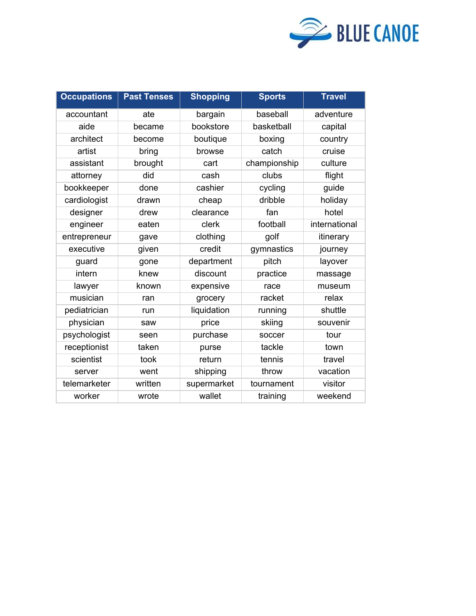

| <b>Occupations</b> | <b>Past Tenses</b> | <b>Shopping</b> | <b>Sports</b> | <b>Travel</b> |
|--------------------|--------------------|-----------------|---------------|---------------|
| accountant         | ate                | bargain         | baseball      | adventure     |
| aide               | became             | bookstore       | basketball    | capital       |
| architect          | become             | boutique        | boxing        | country       |
| artist             | bring              | browse          | catch         | cruise        |
| assistant          | brought            | cart            | championship  | culture       |
| attorney           | did                | cash            | clubs         | flight        |
| bookkeeper         | done               | cashier         | cycling       | guide         |
| cardiologist       | drawn              | cheap           | dribble       | holiday       |
| designer           | drew               | clearance       | fan           | hotel         |
| engineer           | eaten              | clerk           | football      | international |
| entrepreneur       | gave               | clothing        | golf          | itinerary     |
| executive          | given              | credit          | gymnastics    | journey       |
| guard              | gone               | department      | pitch         | layover       |
| intern             | knew               | discount        | practice      | massage       |
| lawyer             | known              | expensive       | race          | museum        |
| musician           | ran                | grocery         | racket        | relax         |
| pediatrician       | run                | liquidation     | running       | shuttle       |
| physician          | saw                | price           | skiing        | souvenir      |
| psychologist       | seen               | purchase        | soccer        | tour          |
| receptionist       | taken              | purse           | tackle        | town          |
| scientist          | took               | return          | tennis        | travel        |
| server             | went               | shipping        | throw         | vacation      |
| telemarketer       | written            | supermarket     | tournament    | visitor       |
| worker             | wrote              | wallet          | training      | weekend       |